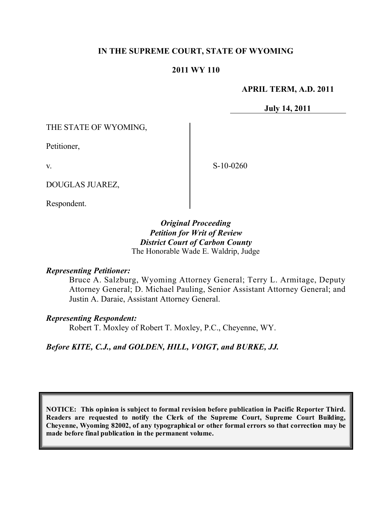# **IN THE SUPREME COURT, STATE OF WYOMING**

### **2011 WY 110**

#### **APRIL TERM, A.D. 2011**

**July 14, 2011**

THE STATE OF WYOMING,

Petitioner,

v.

S-10-0260

DOUGLAS JUAREZ,

Respondent.

*Original Proceeding Petition for Writ of Review District Court of Carbon County* The Honorable Wade E. Waldrip, Judge

## *Representing Petitioner:*

Bruce A. Salzburg, Wyoming Attorney General; Terry L. Armitage, Deputy Attorney General; D. Michael Pauling, Senior Assistant Attorney General; and Justin A. Daraie, Assistant Attorney General.

## *Representing Respondent:*

Robert T. Moxley of Robert T. Moxley, P.C., Cheyenne, WY.

## *Before KITE, C.J., and GOLDEN, HILL, VOIGT, and BURKE, JJ.*

**NOTICE: This opinion is subject to formal revision before publication in Pacific Reporter Third. Readers are requested to notify the Clerk of the Supreme Court, Supreme Court Building, Cheyenne, Wyoming 82002, of any typographical or other formal errors so that correction may be made before final publication in the permanent volume.**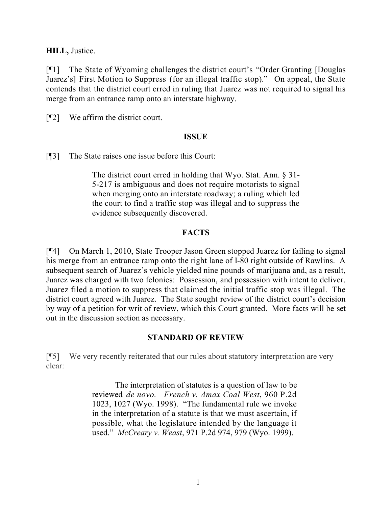**HILL,** Justice.

[¶1] The State of Wyoming challenges the district court's "Order Granting [Douglas Juarez's] First Motion to Suppress (for an illegal traffic stop)." On appeal, the State contends that the district court erred in ruling that Juarez was not required to signal his merge from an entrance ramp onto an interstate highway.

[¶2] We affirm the district court.

# **ISSUE**

[¶3] The State raises one issue before this Court:

The district court erred in holding that Wyo. Stat. Ann. § 31- 5-217 is ambiguous and does not require motorists to signal when merging onto an interstate roadway; a ruling which led the court to find a traffic stop was illegal and to suppress the evidence subsequently discovered.

# **FACTS**

[¶4] On March 1, 2010, State Trooper Jason Green stopped Juarez for failing to signal his merge from an entrance ramp onto the right lane of I-80 right outside of Rawlins. A subsequent search of Juarez's vehicle yielded nine pounds of marijuana and, as a result, Juarez was charged with two felonies: Possession, and possession with intent to deliver. Juarez filed a motion to suppress that claimed the initial traffic stop was illegal. The district court agreed with Juarez. The State sought review of the district court's decision by way of a petition for writ of review, which this Court granted. More facts will be set out in the discussion section as necessary.

# **STANDARD OF REVIEW**

[¶5] We very recently reiterated that our rules about statutory interpretation are very clear:

> The interpretation of statutes is a question of law to be reviewed *de novo. French v. Amax Coal West*, 960 P.2d 1023, 1027 (Wyo. 1998). "The fundamental rule we invoke in the interpretation of a statute is that we must ascertain, if possible, what the legislature intended by the language it used." *McCreary v. Weast*, 971 P.2d 974, 979 (Wyo. 1999).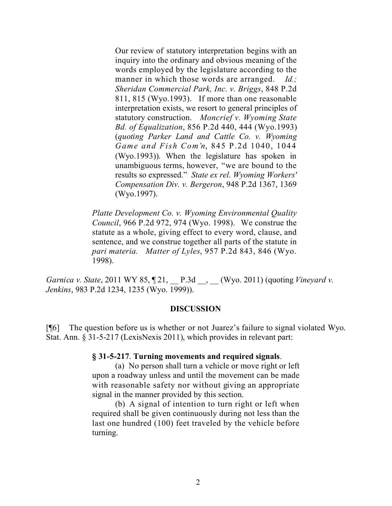Our review of statutory interpretation begins with an inquiry into the ordinary and obvious meaning of the words employed by the legislature according to the manner in which those words are arranged. *Id.; Sheridan Commercial Park, Inc. v. Briggs*, 848 P.2d 811, 815 (Wyo.1993). If more than one reasonable interpretation exists, we resort to general principles of statutory construction. *Moncrief v. Wyoming State Bd. of Equalization*, 856 P.2d 440, 444 (Wyo.1993) (*quoting Parker Land and Cattle Co. v. Wyoming Game and Fish Com'n*, 845 P.2d 1040, 1044 (Wyo.1993)). When the legislature has spoken in unambiguous terms, however, "we are bound to the results so expressed." *State ex rel. Wyoming Workers' Compensation Div. v. Bergeron*, 948 P.2d 1367, 1369 (Wyo.1997).

*Platte Development Co. v. Wyoming Environmental Quality Council*, 966 P.2d 972, 974 (Wyo. 1998). We construe the statute as a whole, giving effect to every word, clause, and sentence, and we construe together all parts of the statute in *pari materia. Matter of Lyles*, 957 P.2d 843, 846 (Wyo. 1998).

*Garnica v. State*, 2011 WY 85,  $\P$ 21, \_\_ P.3d \_\_, \_\_ (Wyo. 2011) (quoting *Vineyard v. Jenkins*, 983 P.2d 1234, 1235 (Wyo. 1999)).

#### **DISCUSSION**

[¶6] The question before us is whether or not Juarez's failure to signal violated Wyo. Stat. Ann. § 31-5-217 (LexisNexis 2011), which provides in relevant part:

#### **§ 31-5-217**. **Turning movements and required signals**.

(a) No person shall turn a vehicle or move right or left upon a roadway unless and until the movement can be made with reasonable safety nor without giving an appropriate signal in the manner provided by this section.

(b) A signal of intention to turn right or left when required shall be given continuously during not less than the last one hundred (100) feet traveled by the vehicle before turning.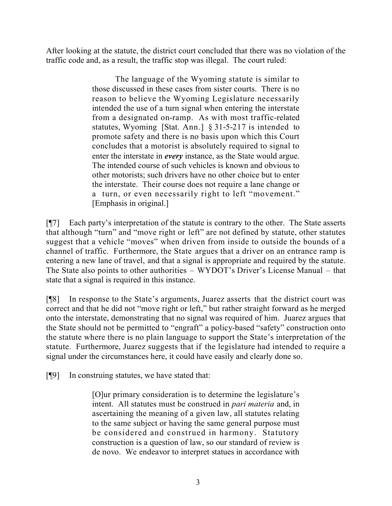After looking at the statute, the district court concluded that there was no violation of the traffic code and, as a result, the traffic stop was illegal. The court ruled:

> The language of the Wyoming statute is similar to those discussed in these cases from sister courts. There is no reason to believe the Wyoming Legislature necessarily intended the use of a turn signal when entering the interstate from a designated on-ramp. As with most traffic-related statutes, Wyoming [Stat. Ann.] § 31-5-217 is intended to promote safety and there is no basis upon which this Court concludes that a motorist is absolutely required to signal to enter the interstate in *every* instance, as the State would argue. The intended course of such vehicles is known and obvious to other motorists; such drivers have no other choice but to enter the interstate. Their course does not require a lane change or a turn, or even necessarily right to left "movement." [Emphasis in original.]

[¶7] Each party's interpretation of the statute is contrary to the other. The State asserts that although "turn" and "move right or left" are not defined by statute, other statutes suggest that a vehicle "moves" when driven from inside to outside the bounds of a channel of traffic. Furthermore, the State argues that a driver on an entrance ramp is entering a new lane of travel, and that a signal is appropriate and required by the statute. The State also points to other authorities – WYDOT's Driver's License Manual – that state that a signal is required in this instance.

[¶8] In response to the State's arguments, Juarez asserts that the district court was correct and that he did not "move right or left," but rather straight forward as he merged onto the interstate, demonstrating that no signal was required of him. Juarez argues that the State should not be permitted to "engraft" a policy-based "safety" construction onto the statute where there is no plain language to support the State's interpretation of the statute. Furthermore, Juarez suggests that if the legislature had intended to require a signal under the circumstances here, it could have easily and clearly done so.

[¶9] In construing statutes, we have stated that:

[O]ur primary consideration is to determine the legislature's intent. All statutes must be construed in *pari materia* and, in ascertaining the meaning of a given law, all statutes relating to the same subject or having the same general purpose must be considered and construed in harmony. Statutory construction is a question of law, so our standard of review is de novo. We endeavor to interpret statues in accordance with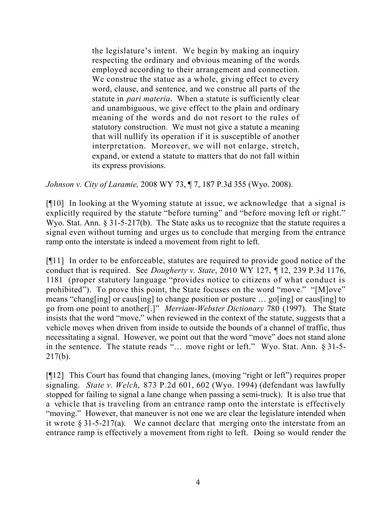the legislature's intent. We begin by making an inquiry respecting the ordinary and obvious meaning of the words employed according to their arrangement and connection. We construe the statue as a whole, giving effect to every word, clause, and sentence, and we construe all parts of the statute in *pari materia*. When a statute is sufficiently clear and unambiguous, we give effect to the plain and ordinary meaning of the words and do not resort to the rules of statutory construction. We must not give a statute a meaning that will nullify its operation if it is susceptible of another interpretation. Moreover, we will not enlarge, stretch, expand, or extend a statute to matters that do not fall within its express provisions.

*Johnson v. City of Laramie,* 2008 WY 73, ¶ 7, 187 P.3d 355 (Wyo. 2008).

[¶10] In looking at the Wyoming statute at issue, we acknowledge that a signal is explicitly required by the statute "before turning" and "before moving left or right." Wyo. Stat. Ann. § 31-5-217(b). The State asks us to recognize that the statute requires a signal even without turning and urges us to conclude that merging from the entrance ramp onto the interstate is indeed a movement from right to left.

[¶11] In order to be enforceable, statutes are required to provide good notice of the conduct that is required. See *Dougherty v. State*, 2010 WY 127, ¶ 12, 239 P.3d 1176, 1181 (proper statutory language "provides notice to citizens of what conduct is prohibited"). To prove this point, the State focuses on the word "move." "[M]ove" means "chang[ing] or caus[ing] to change position or posture … go[ing] or caus[ing] to go from one point to another[.]" *Merriam-Webster Dictionary* 780 (1997). The State insists that the word "move," when reviewed in the context of the statute, suggests that a vehicle moves when driven from inside to outside the bounds of a channel of traffic, thus necessitating a signal. However, we point out that the word "move" does not stand alone in the sentence. The statute reads "… move right or left." Wyo. Stat. Ann. § 31-5-  $217(b)$ .

[¶12] This Court has found that changing lanes, (moving "right or left") requires proper signaling. *State v. Welch*, 873 P.2d 601, 602 (Wyo. 1994) (defendant was lawfully stopped for failing to signal a lane change when passing a semi-truck). It is also true that a vehicle that is traveling from an entrance ramp onto the interstate is effectively "moving." However, that maneuver is not one we are clear the legislature intended when it wrote § 31-5-217(a). We cannot declare that merging onto the interstate from an entrance ramp is effectively a movement from right to left. Doing so would render the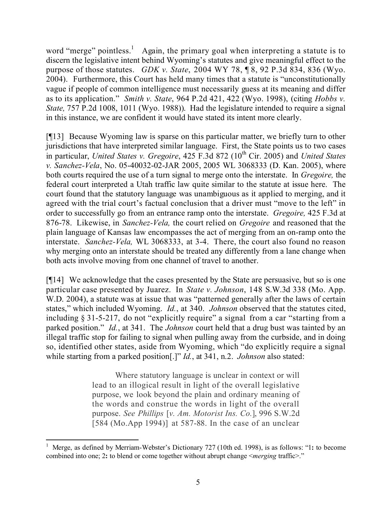word "merge" pointless.<sup>1</sup> Again, the primary goal when interpreting a statute is to discern the legislative intent behind Wyoming's statutes and give meaningful effect to the purpose of those statutes. *GDK v. State*, 2004 WY 78, ¶ 8, 92 P.3d 834, 836 (Wyo. 2004). Furthermore, this Court has held many times that a statute is "unconstitutionally vague if people of common intelligence must necessarily guess at its meaning and differ as to its application." *Smith v. State*, 964 P.2d 421, 422 (Wyo. 1998), (citing *Hobbs v. State,* 757 P.2d 1008, 1011 (Wyo. 1988)). Had the legislature intended to require a signal in this instance, we are confident it would have stated its intent more clearly.

[¶13] Because Wyoming law is sparse on this particular matter, we briefly turn to other jurisdictions that have interpreted similar language. First, the State points us to two cases in particular, *United States v. Gregoire*, 425 F.3d 872 (10 th Cir. 2005) and *United States v. Sanchez-Vela*, No. 05-40032-02-JAR 2005, 2005 WL 3068333 (D. Kan. 2005), where both courts required the use of a turn signal to merge onto the interstate. In *Gregoire,* the federal court interpreted a Utah traffic law quite similar to the statute at issue here. The court found that the statutory language was unambiguous as it applied to merging, and it agreed with the trial court's factual conclusion that a driver must "move to the left" in order to successfully go from an entrance ramp onto the interstate. *Gregoire,* 425 F.3d at 876-78. Likewise, in *Sanchez-Vela,* the court relied on *Gregoire* and reasoned that the plain language of Kansas law encompasses the act of merging from an on-ramp onto the interstate. *Sanchez-Vela,* WL 3068333, at 3-4. There, the court also found no reason why merging onto an interstate should be treated any differently from a lane change when both acts involve moving from one channel of travel to another.

[¶14] We acknowledge that the cases presented by the State are persuasive, but so is one particular case presented by Juarez. In *State v. Johnson*, 148 S.W.3d 338 (Mo. App. W.D. 2004), a statute was at issue that was "patterned generally after the laws of certain states," which included Wyoming. *Id.*, at 340. *Johnson* observed that the statutes cited, including § 31-5-217, do not "explicitly require" a signal from a car "starting from a parked position." *Id.*, at 341. The *Johnson* court held that a drug bust was tainted by an illegal traffic stop for failing to signal when pulling away from the curbside, and in doing so, identified other states, aside from Wyoming, which "do explicitly require a signal while starting from a parked position[.]" *Id.*, at 341, n.2. *Johnson* also stated:

> Where statutory language is unclear in context or will lead to an illogical result in light of the overall legislative purpose, we look beyond the plain and ordinary meaning of the words and construe the words in light of the overall purpose. *See Phillips* [*v. Am. Motorist Ins. Co.*], 996 S.W.2d [584 (Mo.App 1994)] at 587-88. In the case of an unclear

 $\overline{a}$ 

<sup>1</sup> Merge, as defined by Merriam-Webster's Dictionary 727 (10th ed. 1998), is as follows: "1**:** to become combined into one; 2**:** to blend or come together without abrupt change <*merging* traffic>."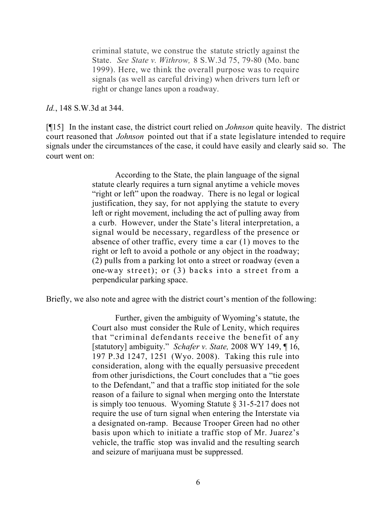criminal statute, we construe the statute strictly against the State. *See State v. Withrow,* 8 S.W.3d 75, 79-80 (Mo. banc 1999). Here, we think the overall purpose was to require signals (as well as careful driving) when drivers turn left or right or change lanes upon a roadway.

*Id.*, 148 S.W.3d at 344.

[¶15] In the instant case, the district court relied on *Johnson* quite heavily. The district court reasoned that *Johnson* pointed out that if a state legislature intended to require signals under the circumstances of the case, it could have easily and clearly said so. The court went on:

> According to the State, the plain language of the signal statute clearly requires a turn signal anytime a vehicle moves "right or left" upon the roadway. There is no legal or logical justification, they say, for not applying the statute to every left or right movement, including the act of pulling away from a curb. However, under the State's literal interpretation, a signal would be necessary, regardless of the presence or absence of other traffic, every time a car (1) moves to the right or left to avoid a pothole or any object in the roadway; (2) pulls from a parking lot onto a street or roadway (even a one-way street); or (3) backs into a street from a perpendicular parking space.

Briefly, we also note and agree with the district court's mention of the following:

Further, given the ambiguity of Wyoming's statute, the Court also must consider the Rule of Lenity, which requires that "criminal defendants receive the benefit of any [statutory] ambiguity." *Schafer v. State,* 2008 WY 149, ¶ 16, 197 P.3d 1247, 1251 (Wyo. 2008). Taking this rule into consideration, along with the equally persuasive precedent from other jurisdictions, the Court concludes that a "tie goes to the Defendant," and that a traffic stop initiated for the sole reason of a failure to signal when merging onto the Interstate is simply too tenuous. Wyoming Statute § 31-5-217 does not require the use of turn signal when entering the Interstate via a designated on-ramp. Because Trooper Green had no other basis upon which to initiate a traffic stop of Mr. Juarez's vehicle, the traffic stop was invalid and the resulting search and seizure of marijuana must be suppressed.